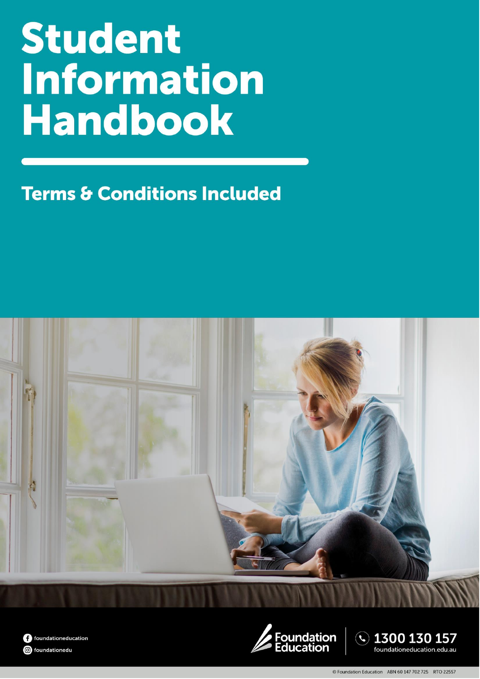# **Student Information Handbook**

**Terms & Conditions Included** 







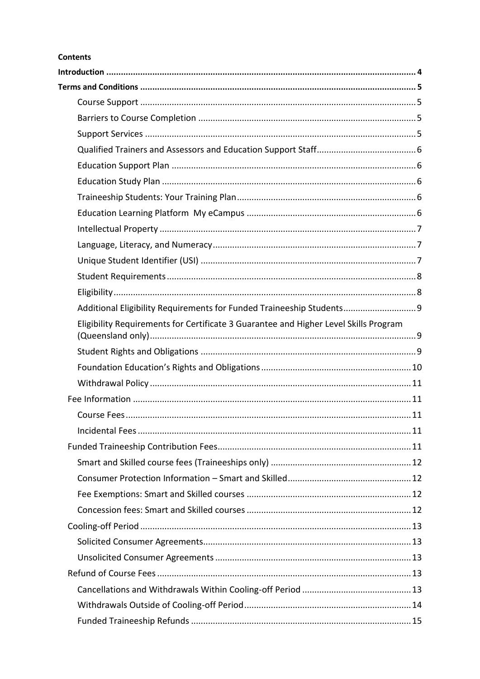#### **Contents**

| Additional Eligibility Requirements for Funded Traineeship Students 9                |  |
|--------------------------------------------------------------------------------------|--|
| Eligibility Requirements for Certificate 3 Guarantee and Higher Level Skills Program |  |
|                                                                                      |  |
|                                                                                      |  |
|                                                                                      |  |
|                                                                                      |  |
|                                                                                      |  |
|                                                                                      |  |
|                                                                                      |  |
|                                                                                      |  |
|                                                                                      |  |
|                                                                                      |  |
|                                                                                      |  |
|                                                                                      |  |
|                                                                                      |  |
|                                                                                      |  |
|                                                                                      |  |
|                                                                                      |  |
|                                                                                      |  |
|                                                                                      |  |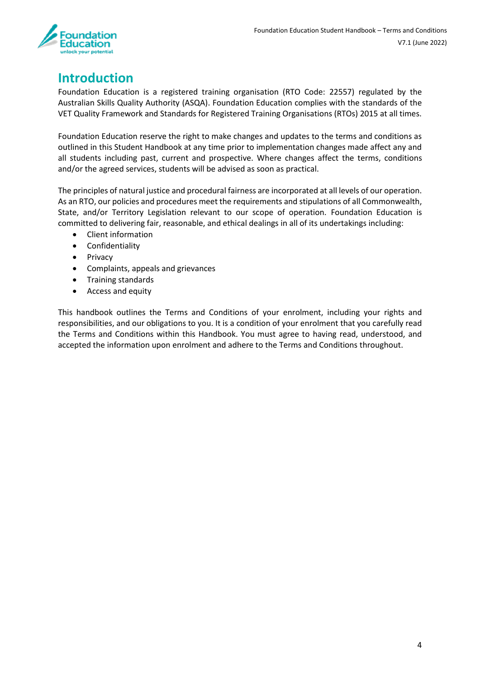

# <span id="page-3-0"></span>**Introduction**

Foundation Education is a registered training organisation (RTO Code: 22557) regulated by the Australian Skills Quality Authority (ASQA). Foundation Education complies with the standards of the VET Quality Framework and Standards for Registered Training Organisations (RTOs) 2015 at all times.

Foundation Education reserve the right to make changes and updates to the terms and conditions as outlined in this Student Handbook at any time prior to implementation changes made affect any and all students including past, current and prospective. Where changes affect the terms, conditions and/or the agreed services, students will be advised as soon as practical.

The principles of natural justice and procedural fairness are incorporated at all levels of our operation. As an RTO, our policies and procedures meet the requirements and stipulations of all Commonwealth, State, and/or Territory Legislation relevant to our scope of operation. Foundation Education is committed to delivering fair, reasonable, and ethical dealings in all of its undertakings including:

- Client information
- Confidentiality
- Privacy
- Complaints, appeals and grievances
- Training standards
- Access and equity

This handbook outlines the Terms and Conditions of your enrolment, including your rights and responsibilities, and our obligations to you. It is a condition of your enrolment that you carefully read the Terms and Conditions within this Handbook. You must agree to having read, understood, and accepted the information upon enrolment and adhere to the Terms and Conditions throughout.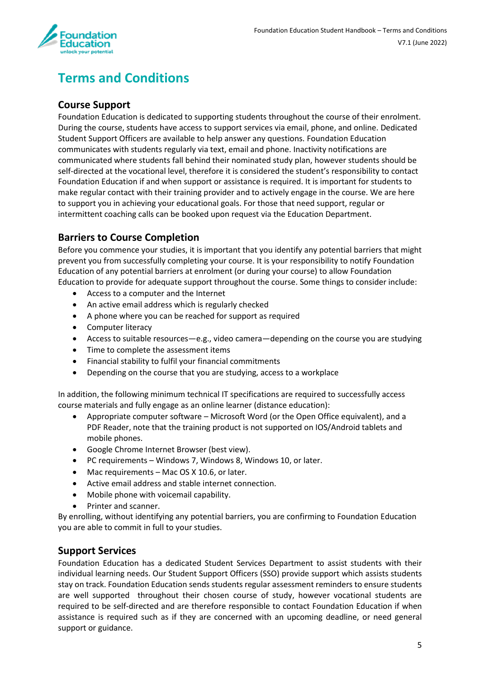

# <span id="page-4-0"></span>**Terms and Conditions**

#### <span id="page-4-1"></span>**Course Support**

Foundation Education is dedicated to supporting students throughout the course of their enrolment. During the course, students have access to support services via email, phone, and online. Dedicated Student Support Officers are available to help answer any questions. Foundation Education communicates with students regularly via text, email and phone. Inactivity notifications are communicated where students fall behind their nominated study plan, however students should be self-directed at the vocational level, therefore it is considered the student's responsibility to contact Foundation Education if and when support or assistance is required. It is important for students to make regular contact with their training provider and to actively engage in the course. We are here to support you in achieving your educational goals. For those that need support, regular or intermittent coaching calls can be booked upon request via the Education Department.

#### <span id="page-4-2"></span>**Barriers to Course Completion**

Before you commence your studies, it is important that you identify any potential barriers that might prevent you from successfully completing your course. It is your responsibility to notify Foundation Education of any potential barriers at enrolment (or during your course) to allow Foundation Education to provide for adequate support throughout the course. Some things to consider include:

- Access to a computer and the Internet
- An active email address which is regularly checked
- A phone where you can be reached for support as required
- Computer literacy
- Access to suitable resources—e.g., video camera—depending on the course you are studying
- Time to complete the assessment items
- Financial stability to fulfil your financial commitments
- Depending on the course that you are studying, access to a workplace

In addition, the following minimum technical IT specifications are required to successfully access course materials and fully engage as an online learner (distance education):

- Appropriate computer software Microsoft Word (or the Open Office equivalent), and a PDF Reader, note that the training product is not supported on IOS/Android tablets and mobile phones.
- Google Chrome Internet Browser (best view).
- PC requirements Windows 7, Windows 8, Windows 10, or later.
- Mac requirements Mac OS X 10.6, or later.
- Active email address and stable internet connection.
- Mobile phone with voicemail capability.
- Printer and scanner.

By enrolling, without identifying any potential barriers, you are confirming to Foundation Education you are able to commit in full to your studies.

#### <span id="page-4-3"></span>**Support Services**

Foundation Education has a dedicated Student Services Department to assist students with their individual learning needs. Our Student Support Officers (SSO) provide support which assists students stay on track. Foundation Education sends students regular assessment reminders to ensure students are well supported throughout their chosen course of study, however vocational students are required to be self-directed and are therefore responsible to contact Foundation Education if when assistance is required such as if they are concerned with an upcoming deadline, or need general support or guidance.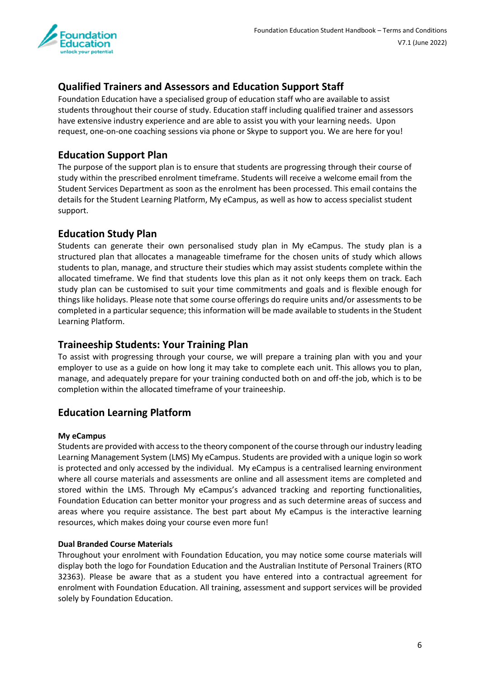

# <span id="page-5-0"></span>**Qualified Trainers and Assessors and Education Support Staff**

Foundation Education have a specialised group of education staff who are available to assist students throughout their course of study. Education staff including qualified trainer and assessors have extensive industry experience and are able to assist you with your learning needs. Upon request, one-on-one coaching sessions via phone or Skype to support you. We are here for you!

## <span id="page-5-1"></span>**Education Support Plan**

The purpose of the support plan is to ensure that students are progressing through their course of study within the prescribed enrolment timeframe. Students will receive a welcome email from the Student Services Department as soon as the enrolment has been processed. This email contains the details for the Student Learning Platform, My eCampus, as well as how to access specialist student support.

#### <span id="page-5-2"></span>**Education Study Plan**

Students can generate their own personalised study plan in My eCampus. The study plan is a structured plan that allocates a manageable timeframe for the chosen units of study which allows students to plan, manage, and structure their studies which may assist students complete within the allocated timeframe. We find that students love this plan as it not only keeps them on track. Each study plan can be customised to suit your time commitments and goals and is flexible enough for things like holidays. Please note that some course offerings do require units and/or assessments to be completed in a particular sequence; this information will be made available to students in the Student Learning Platform.

#### <span id="page-5-3"></span>**Traineeship Students: Your Training Plan**

To assist with progressing through your course, we will prepare a training plan with you and your employer to use as a guide on how long it may take to complete each unit. This allows you to plan, manage, and adequately prepare for your training conducted both on and off-the job, which is to be completion within the allocated timeframe of your traineeship.

#### <span id="page-5-4"></span>**Education Learning Platform**

#### **My eCampus**

Students are provided with access to the theory component of the course through our industry leading Learning Management System (LMS) My eCampus. Students are provided with a unique login so work is protected and only accessed by the individual. My eCampus is a centralised learning environment where all course materials and assessments are online and all assessment items are completed and stored within the LMS. Through My eCampus's advanced tracking and reporting functionalities, Foundation Education can better monitor your progress and as such determine areas of success and areas where you require assistance. The best part about My eCampus is the interactive learning resources, which makes doing your course even more fun!

#### **Dual Branded Course Materials**

Throughout your enrolment with Foundation Education, you may notice some course materials will display both the logo for Foundation Education and the Australian Institute of Personal Trainers (RTO 32363). Please be aware that as a student you have entered into a contractual agreement for enrolment with Foundation Education. All training, assessment and support services will be provided solely by Foundation Education.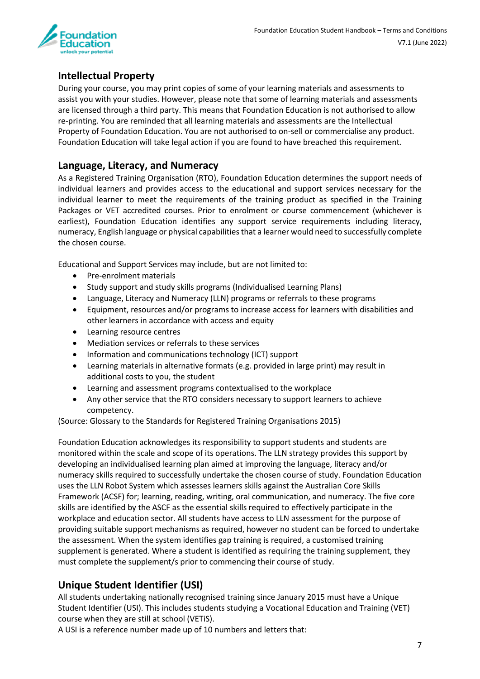

## <span id="page-6-0"></span>**Intellectual Property**

During your course, you may print copies of some of your learning materials and assessments to assist you with your studies. However, please note that some of learning materials and assessments are licensed through a third party. This means that Foundation Education is not authorised to allow re-printing. You are reminded that all learning materials and assessments are the Intellectual Property of Foundation Education. You are not authorised to on-sell or commercialise any product. Foundation Education will take legal action if you are found to have breached this requirement.

#### <span id="page-6-1"></span>**Language, Literacy, and Numeracy**

As a Registered Training Organisation (RTO), Foundation Education determines the support needs of individual learners and provides access to the educational and support services necessary for the individual learner to meet the requirements of the training product as specified in the Training Packages or VET accredited courses. Prior to enrolment or course commencement (whichever is earliest), Foundation Education identifies any support service requirements including literacy, numeracy, English language or physical capabilities that a learner would need to successfully complete the chosen course.

Educational and Support Services may include, but are not limited to:

- Pre-enrolment materials
- Study support and study skills programs (Individualised Learning Plans)
- Language, Literacy and Numeracy (LLN) programs or referrals to these programs
- Equipment, resources and/or programs to increase access for learners with disabilities and other learners in accordance with access and equity
- Learning resource centres
- Mediation services or referrals to these services
- Information and communications technology (ICT) support
- Learning materials in alternative formats (e.g. provided in large print) may result in additional costs to you, the student
- Learning and assessment programs contextualised to the workplace
- Any other service that the RTO considers necessary to support learners to achieve competency.

(Source: Glossary to the Standards for Registered Training Organisations 2015)

Foundation Education acknowledges its responsibility to support students and students are monitored within the scale and scope of its operations. The LLN strategy provides this support by developing an individualised learning plan aimed at improving the language, literacy and/or numeracy skills required to successfully undertake the chosen course of study. Foundation Education uses the LLN Robot System which assesses learners skills against the Australian Core Skills Framework (ACSF) for; learning, reading, writing, oral communication, and numeracy. The five core skills are identified by the ASCF as the essential skills required to effectively participate in the workplace and education sector. All students have access to LLN assessment for the purpose of providing suitable support mechanisms as required, however no student can be forced to undertake the assessment. When the system identifies gap training is required, a customised training supplement is generated. Where a student is identified as requiring the training supplement, they must complete the supplement/s prior to commencing their course of study.

## <span id="page-6-2"></span>**Unique Student Identifier (USI)**

All students undertaking nationally recognised training since January 2015 must have a Unique Student Identifier (USI). This includes students studying a Vocational Education and Training (VET) course when they are still at school (VETiS).

A USI is a reference number made up of 10 numbers and letters that: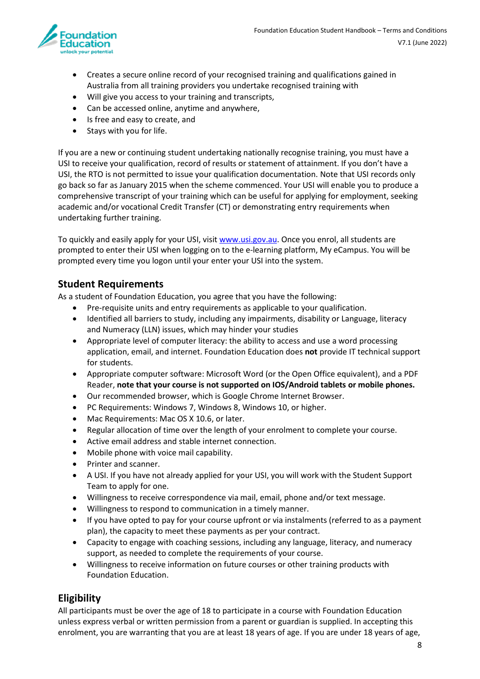

- Creates a secure online record of your recognised training and qualifications gained in Australia from all training providers you undertake recognised training with
- Will give you access to your training and transcripts,
- Can be accessed online, anytime and anywhere,
- Is free and easy to create, and
- Stays with you for life.

If you are a new or continuing student undertaking nationally recognise training, you must have a USI to receive your qualification, record of results or statement of attainment. If you don't have a USI, the RTO is not permitted to issue your qualification documentation. Note that USI records only go back so far as January 2015 when the scheme commenced. Your USI will enable you to produce a comprehensive transcript of your training which can be useful for applying for employment, seeking academic and/or vocational Credit Transfer (CT) or demonstrating entry requirements when undertaking further training.

To quickly and easily apply for your USI, visit [www.usi.gov.au.](http://www.usi.gov.au/) Once you enrol, all students are prompted to enter their USI when logging on to the e-learning platform, My eCampus. You will be prompted every time you logon until your enter your USI into the system.

#### <span id="page-7-0"></span>**Student Requirements**

As a student of Foundation Education, you agree that you have the following:

- Pre-requisite units and entry requirements as applicable to your qualification.
- Identified all barriers to study, including any impairments, disability or Language, literacy and Numeracy (LLN) issues, which may hinder your studies
- Appropriate level of computer literacy: the ability to access and use a word processing application, email, and internet. Foundation Education does **not** provide IT technical support for students.
- Appropriate computer software: Microsoft Word (or the Open Office equivalent), and a PDF Reader, **note that your course is not supported on IOS/Android tablets or mobile phones.**
- Our recommended browser, which is Google Chrome Internet Browser.
- PC Requirements: Windows 7, Windows 8, Windows 10, or higher.
- Mac Requirements: Mac OS X 10.6, or later.
- Regular allocation of time over the length of your enrolment to complete your course.
- Active email address and stable internet connection.
- Mobile phone with voice mail capability.
- Printer and scanner.
- A USI. If you have not already applied for your USI, you will work with the Student Support Team to apply for one.
- Willingness to receive correspondence via mail, email, phone and/or text message.
- Willingness to respond to communication in a timely manner.
- If you have opted to pay for your course upfront or via instalments (referred to as a payment plan), the capacity to meet these payments as per your contract.
- Capacity to engage with coaching sessions, including any language, literacy, and numeracy support, as needed to complete the requirements of your course.
- Willingness to receive information on future courses or other training products with Foundation Education.

#### <span id="page-7-1"></span>**Eligibility**

All participants must be over the age of 18 to participate in a course with Foundation Education unless express verbal or written permission from a parent or guardian is supplied. In accepting this enrolment, you are warranting that you are at least 18 years of age. If you are under 18 years of age,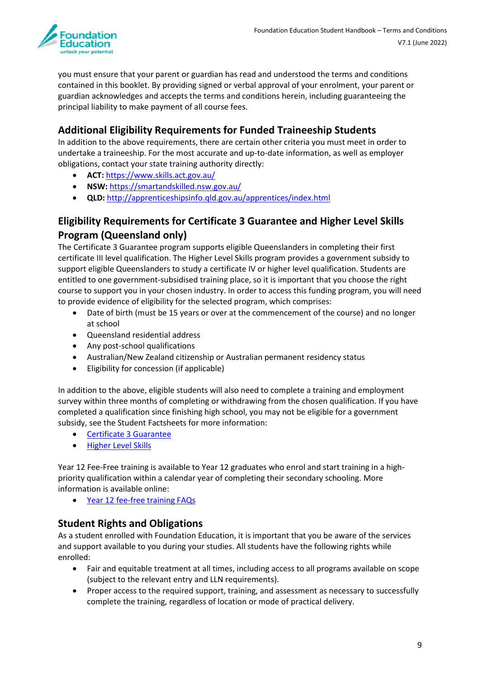

you must ensure that your parent or guardian has read and understood the terms and conditions contained in this booklet. By providing signed or verbal approval of your enrolment, your parent or guardian acknowledges and accepts the terms and conditions herein, including guaranteeing the principal liability to make payment of all course fees.

#### <span id="page-8-0"></span>**Additional Eligibility Requirements for Funded Traineeship Students**

In addition to the above requirements, there are certain other criteria you must meet in order to undertake a traineeship. For the most accurate and up-to-date information, as well as employer obligations, contact your state training authority directly:

- **ACT:** [https://www.skills.act.gov.au/](http://www.cmd.act.gov.au/skillscanberra/individuals)
- **NSW:** <https://smartandskilled.nsw.gov.au/>
- **QLD:** <http://apprenticeshipsinfo.qld.gov.au/apprentices/index.html>

# <span id="page-8-1"></span>**Eligibility Requirements for Certificate 3 Guarantee and Higher Level Skills Program (Queensland only)**

The Certificate 3 Guarantee program supports eligible Queenslanders in completing their first certificate III level qualification. The Higher Level Skills program provides a government subsidy to support eligible Queenslanders to study a certificate IV or higher level qualification. Students are entitled to one government-subsidised training place, so it is important that you choose the right course to support you in your chosen industry. In order to access this funding program, you will need to provide evidence of eligibility for the selected program, which comprises:

- Date of birth (must be 15 years or over at the commencement of the course) and no longer at school
- Queensland residential address
- Any post-school qualifications
- Australian/New Zealand citizenship or Australian permanent residency status
- Eligibility for concession (if applicable)

In addition to the above, eligible students will also need to complete a training and employment survey within three months of completing or withdrawing from the chosen qualification. If you have completed a qualification since finishing high school, you may not be eligible for a government subsidy, see the Student Factsheets for more information:

- [Certificate 3 Guarantee](https://desbt.qld.gov.au/__data/assets/pdf_file/0018/8145/c3g-factsheet-student.pdf)
- [Higher Level Skills](https://training.qld.gov.au/site/providers/Documents/funded/hls-student-factsheet.pdf)

Year 12 Fee-Free training is available to Year 12 graduates who enrol and start training in a highpriority qualification within a calendar year of completing their secondary schooling. More information is available online:

• [Year 12 fee-free training FAQs](https://training.qld.gov.au/training/incentives/year12-fee-free/faq)

#### <span id="page-8-2"></span>**Student Rights and Obligations**

As a student enrolled with Foundation Education, it is important that you be aware of the services and support available to you during your studies. All students have the following rights while enrolled:

- Fair and equitable treatment at all times, including access to all programs available on scope (subject to the relevant entry and LLN requirements).
- Proper access to the required support, training, and assessment as necessary to successfully complete the training, regardless of location or mode of practical delivery.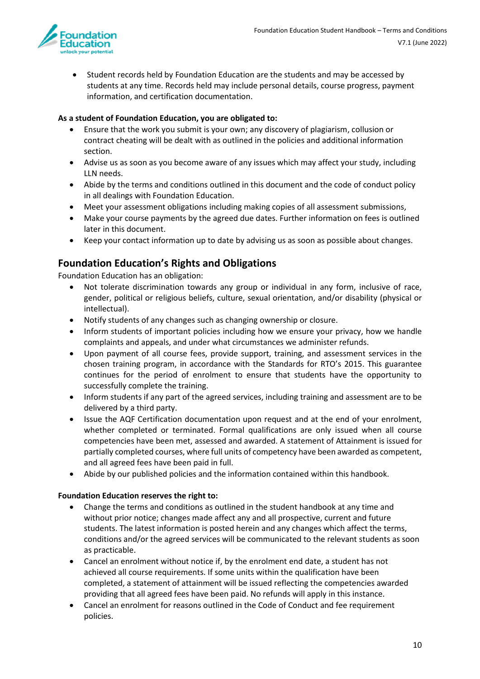

• Student records held by Foundation Education are the students and may be accessed by students at any time. Records held may include personal details, course progress, payment information, and certification documentation.

#### **As a student of Foundation Education, you are obligated to:**

- Ensure that the work you submit is your own; any discovery of plagiarism, collusion or contract cheating will be dealt with as outlined in the policies and additional information section.
- Advise us as soon as you become aware of any issues which may affect your study, including LLN needs.
- Abide by the terms and conditions outlined in this document and the code of conduct policy in all dealings with Foundation Education.
- Meet your assessment obligations including making copies of all assessment submissions,
- Make your course payments by the agreed due dates. Further information on fees is outlined later in this document.
- Keep your contact information up to date by advising us as soon as possible about changes.

## <span id="page-9-0"></span>**Foundation Education's Rights and Obligations**

Foundation Education has an obligation:

- Not tolerate discrimination towards any group or individual in any form, inclusive of race, gender, political or religious beliefs, culture, sexual orientation, and/or disability (physical or intellectual).
- Notify students of any changes such as changing ownership or closure.
- Inform students of important policies including how we ensure your privacy, how we handle complaints and appeals, and under what circumstances we administer refunds.
- Upon payment of all course fees, provide support, training, and assessment services in the chosen training program, in accordance with the Standards for RTO's 2015. This guarantee continues for the period of enrolment to ensure that students have the opportunity to successfully complete the training.
- Inform students if any part of the agreed services, including training and assessment are to be delivered by a third party.
- Issue the AQF Certification documentation upon request and at the end of your enrolment, whether completed or terminated. Formal qualifications are only issued when all course competencies have been met, assessed and awarded. A statement of Attainment is issued for partially completed courses, where full units of competency have been awarded as competent, and all agreed fees have been paid in full.
- Abide by our published policies and the information contained within this handbook.

#### **Foundation Education reserves the right to:**

- Change the terms and conditions as outlined in the student handbook at any time and without prior notice; changes made affect any and all prospective, current and future students. The latest information is posted herein and any changes which affect the terms, conditions and/or the agreed services will be communicated to the relevant students as soon as practicable.
- Cancel an enrolment without notice if, by the enrolment end date, a student has not achieved all course requirements. If some units within the qualification have been completed, a statement of attainment will be issued reflecting the competencies awarded providing that all agreed fees have been paid. No refunds will apply in this instance.
- Cancel an enrolment for reasons outlined in the Code of Conduct and fee requirement policies.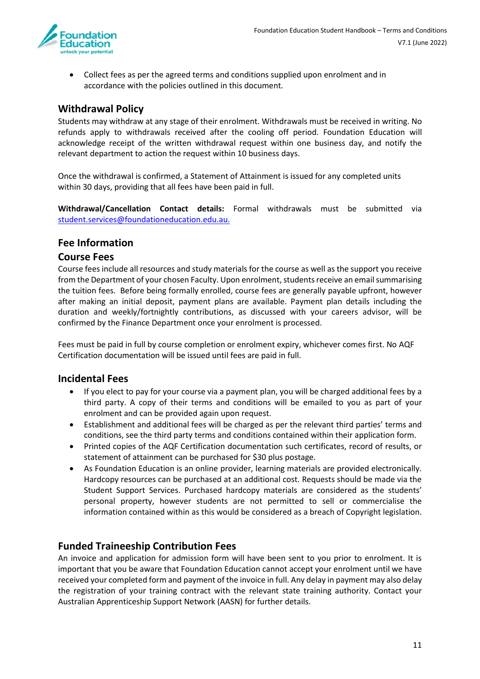

• Collect fees as per the agreed terms and conditions supplied upon enrolment and in accordance with the policies outlined in this document.

#### <span id="page-10-0"></span>**Withdrawal Policy**

Students may withdraw at any stage of their enrolment. Withdrawals must be received in writing. No refunds apply to withdrawals received after the cooling off period. Foundation Education will acknowledge receipt of the written withdrawal request within one business day, and notify the relevant department to action the request within 10 business days.

Once the withdrawal is confirmed, a Statement of Attainment is issued for any completed units within 30 days, providing that all fees have been paid in full.

**Withdrawal/Cancellation Contact details:** Formal withdrawals must be submitted via [student.services@foundationeducation.edu.au.](mailto:student.services@foundationeducation.edu.au)

#### <span id="page-10-1"></span>**Fee Information**

#### <span id="page-10-2"></span>**Course Fees**

Course fees include all resources and study materials for the course as well as the support you receive from the Department of your chosen Faculty. Upon enrolment, students receive an email summarising the tuition fees. Before being formally enrolled, course fees are generally payable upfront, however after making an initial deposit, payment plans are available. Payment plan details including the duration and weekly/fortnightly contributions, as discussed with your careers advisor, will be confirmed by the Finance Department once your enrolment is processed.

Fees must be paid in full by course completion or enrolment expiry, whichever comes first. No AQF Certification documentation will be issued until fees are paid in full.

#### <span id="page-10-3"></span>**Incidental Fees**

- If you elect to pay for your course via a payment plan, you will be charged additional fees by a third party. A copy of their terms and conditions will be emailed to you as part of your enrolment and can be provided again upon request.
- Establishment and additional fees will be charged as per the relevant third parties' terms and conditions, see the third party terms and conditions contained within their application form.
- Printed copies of the AQF Certification documentation such certificates, record of results, or statement of attainment can be purchased for \$30 plus postage.
- As Foundation Education is an online provider, learning materials are provided electronically. Hardcopy resources can be purchased at an additional cost. Requests should be made via the Student Support Services. Purchased hardcopy materials are considered as the students' personal property, however students are not permitted to sell or commercialise the information contained within as this would be considered as a breach of Copyright legislation.

#### <span id="page-10-4"></span>**Funded Traineeship Contribution Fees**

An invoice and application for admission form will have been sent to you prior to enrolment. It is important that you be aware that Foundation Education cannot accept your enrolment until we have received your completed form and payment of the invoice in full. Any delay in payment may also delay the registration of your training contract with the relevant state training authority. Contact your Australian Apprenticeship Support Network (AASN) for further details.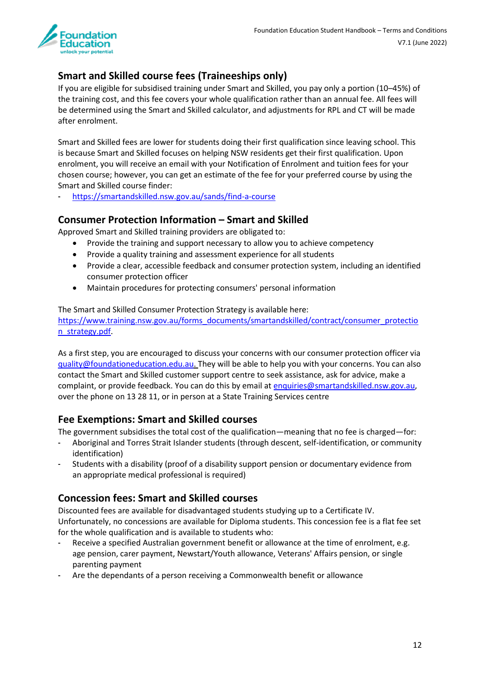

# <span id="page-11-0"></span>**Smart and Skilled course fees (Traineeships only)**

If you are eligible for subsidised training under Smart and Skilled, you pay only a portion (10–45%) of the training cost, and this fee covers your whole qualification rather than an annual fee. All fees will be determined using the Smart and Skilled calculator, and adjustments for RPL and CT will be made after enrolment.

Smart and Skilled fees are lower for students doing their first qualification since leaving school. This is because Smart and Skilled focuses on helping NSW residents get their first qualification. Upon enrolment, you will receive an email with your Notification of Enrolment and tuition fees for your chosen course; however, you can get an estimate of the fee for your preferred course by using the Smart and Skilled course finder:

- <https://smartandskilled.nsw.gov.au/sands/find-a-course>

## <span id="page-11-1"></span>**Consumer Protection Information – Smart and Skilled**

Approved Smart and Skilled training providers are obligated to:

- Provide the training and support necessary to allow you to achieve competency
- Provide a quality training and assessment experience for all students
- Provide a clear, accessible feedback and consumer protection system, including an identified consumer protection officer
- Maintain procedures for protecting consumers' personal information

The Smart and Skilled Consumer Protection Strategy is available here: [https://www.training.nsw.gov.au/forms\\_documents/smartandskilled/contract/consumer\\_protectio](https://www.training.nsw.gov.au/forms_documents/smartandskilled/contract/consumer_protection_strategy.pdf) [n\\_strategy.pdf.](https://www.training.nsw.gov.au/forms_documents/smartandskilled/contract/consumer_protection_strategy.pdf)

As a first step, you are encouraged to discuss your concerns with our consumer protection officer via [quality@foundationeducation.edu.au.](mailto:quality@foundationeducation.edu.au) They will be able to help you with your concerns. You can also contact the Smart and Skilled customer support centre to seek assistance, ask for advice, make a complaint, or provide feedback. You can do this by email at [enquiries@smartandskilled.nsw.gov.au,](mailto:enquiries@smartandskilled.nsw.gov.au) over the phone on 13 28 11, or in person at a State Training Services centre

## <span id="page-11-2"></span>**Fee Exemptions: Smart and Skilled courses**

The government subsidises the total cost of the qualification—meaning that no fee is charged—for:

- Aboriginal and Torres Strait Islander students (through descent, self-identification, or community identification)
- Students with a disability (proof of a disability support pension or documentary evidence from an appropriate medical professional is required)

## <span id="page-11-3"></span>**Concession fees: Smart and Skilled courses**

Discounted fees are available for disadvantaged students studying up to a Certificate IV. Unfortunately, no concessions are available for Diploma students. This concession fee is a flat fee set for the whole qualification and is available to students who:

- Receive a specified Australian government benefit or allowance at the time of enrolment, e.g. age pension, carer payment, Newstart/Youth allowance, Veterans' Affairs pension, or single parenting payment
- Are the dependants of a person receiving a Commonwealth benefit or allowance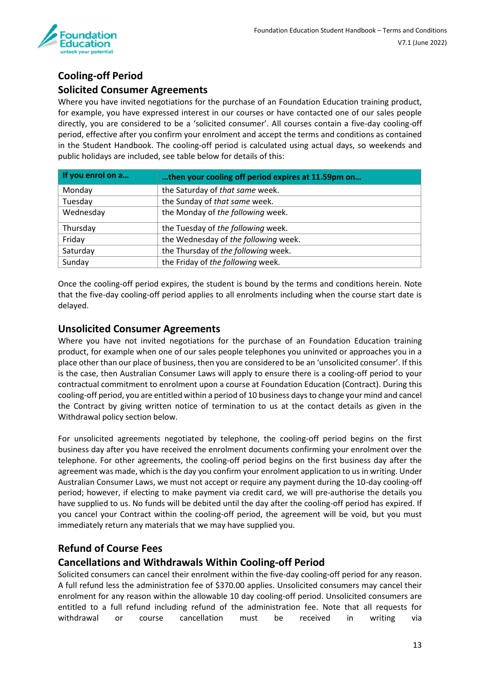

# <span id="page-12-1"></span><span id="page-12-0"></span>**Cooling-off Period Solicited Consumer Agreements**

Where you have invited negotiations for the purchase of an Foundation Education training product, for example, you have expressed interest in our courses or have contacted one of our sales people directly, you are considered to be a 'solicited consumer'. All courses contain a five-day cooling-off period, effective after you confirm your enrolment and accept the terms and conditions as contained in the Student Handbook. The cooling-off period is calculated using actual days, so weekends and public holidays are included, see table below for details of this:

| If you enrol on a | then your cooling off period expires at 11.59pm on |
|-------------------|----------------------------------------------------|
| Monday            | the Saturday of that same week.                    |
| Tuesday           | the Sunday of that same week.                      |
| Wednesday         | the Monday of the following week.                  |
| Thursday          | the Tuesday of the following week.                 |
| Friday            | the Wednesday of the following week.               |
| Saturday          | the Thursday of the following week.                |
| Sunday            | the Friday of the following week.                  |

Once the cooling-off period expires, the student is bound by the terms and conditions herein. Note that the five-day cooling-off period applies to all enrolments including when the course start date is delayed.

#### <span id="page-12-2"></span>**Unsolicited Consumer Agreements**

Where you have not invited negotiations for the purchase of an Foundation Education training product, for example when one of our sales people telephones you uninvited or approaches you in a place other than our place of business, then you are considered to be an 'unsolicited consumer'. If this is the case, then Australian Consumer Laws will apply to ensure there is a cooling-off period to your contractual commitment to enrolment upon a course at Foundation Education (Contract). During this cooling-off period, you are entitled within a period of 10 business days to change your mind and cancel the Contract by giving written notice of termination to us at the contact details as given in the Withdrawal policy section below.

For unsolicited agreements negotiated by telephone, the cooling-off period begins on the first business day after you have received the enrolment documents confirming your enrolment over the telephone. For other agreements, the cooling-off period begins on the first business day after the agreement was made, which is the day you confirm your enrolment application to us in writing. Under Australian Consumer Laws, we must not accept or require any payment during the 10-day cooling-off period; however, if electing to make payment via credit card, we will pre-authorise the details you have supplied to us. No funds will be debited until the day after the cooling-off period has expired. If you cancel your Contract within the cooling-off period, the agreement will be void, but you must immediately return any materials that we may have supplied you.

# <span id="page-12-3"></span>**Refund of Course Fees**

## <span id="page-12-4"></span>**Cancellations and Withdrawals Within Cooling-off Period**

Solicited consumers can cancel their enrolment within the five-day cooling-off period for any reason. A full refund less the administration fee of \$370.00 applies. Unsolicited consumers may cancel their enrolment for any reason within the allowable 10 day cooling-off period. Unsolicited consumers are entitled to a full refund including refund of the administration fee. Note that all requests for withdrawal or course cancellation must be received in writing via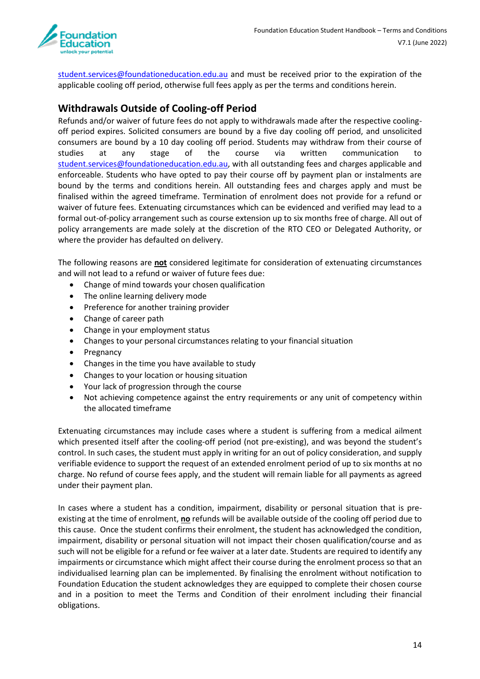

student.services@foundationeducation.edu.au and must be received prior to the expiration of the applicable cooling off period, otherwise full fees apply as per the terms and conditions herein.

#### <span id="page-13-0"></span>**Withdrawals Outside of Cooling-off Period**

Refunds and/or waiver of future fees do not apply to withdrawals made after the respective coolingoff period expires. Solicited consumers are bound by a five day cooling off period, and unsolicited consumers are bound by a 10 day cooling off period. Students may withdraw from their course of studies at any stage of the course via written communication to [student.services@foundationeducation.edu.au,](mailto:student.services@foundationeducation.edu.au) with all outstanding fees and charges applicable and enforceable. Students who have opted to pay their course off by payment plan or instalments are bound by the terms and conditions herein. All outstanding fees and charges apply and must be finalised within the agreed timeframe. Termination of enrolment does not provide for a refund or waiver of future fees. Extenuating circumstances which can be evidenced and verified may lead to a formal out-of-policy arrangement such as course extension up to six months free of charge. All out of policy arrangements are made solely at the discretion of the RTO CEO or Delegated Authority, or where the provider has defaulted on delivery.

The following reasons are **not** considered legitimate for consideration of extenuating circumstances and will not lead to a refund or waiver of future fees due:

- Change of mind towards your chosen qualification
- The online learning delivery mode
- Preference for another training provider
- Change of career path
- Change in your employment status
- Changes to your personal circumstances relating to your financial situation
- Pregnancy
- Changes in the time you have available to study
- Changes to your location or housing situation
- Your lack of progression through the course
- Not achieving competence against the entry requirements or any unit of competency within the allocated timeframe

Extenuating circumstances may include cases where a student is suffering from a medical ailment which presented itself after the cooling-off period (not pre-existing), and was beyond the student's control. In such cases, the student must apply in writing for an out of policy consideration, and supply verifiable evidence to support the request of an extended enrolment period of up to six months at no charge. No refund of course fees apply, and the student will remain liable for all payments as agreed under their payment plan.

In cases where a student has a condition, impairment, disability or personal situation that is preexisting at the time of enrolment, **no** refunds will be available outside of the cooling off period due to this cause. Once the student confirms their enrolment, the student has acknowledged the condition, impairment, disability or personal situation will not impact their chosen qualification/course and as such will not be eligible for a refund or fee waiver at a later date. Students are required to identify any impairments or circumstance which might affect their course during the enrolment process so that an individualised learning plan can be implemented. By finalising the enrolment without notification to Foundation Education the student acknowledges they are equipped to complete their chosen course and in a position to meet the Terms and Condition of their enrolment including their financial obligations.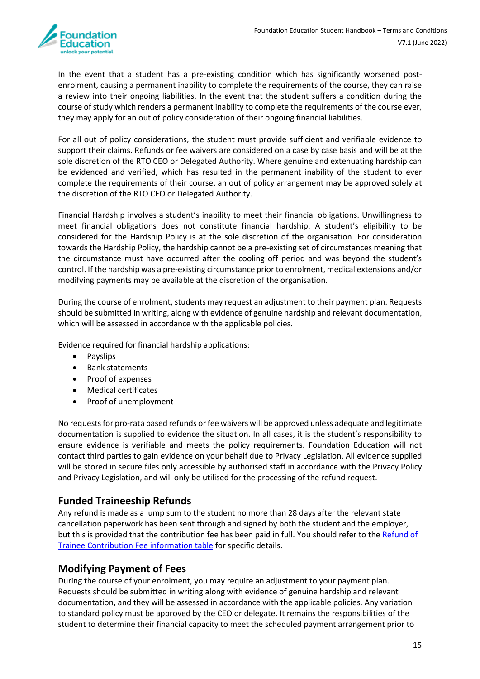

In the event that a student has a pre-existing condition which has significantly worsened postenrolment, causing a permanent inability to complete the requirements of the course, they can raise a review into their ongoing liabilities. In the event that the student suffers a condition during the course of study which renders a permanent inability to complete the requirements of the course ever, they may apply for an out of policy consideration of their ongoing financial liabilities.

For all out of policy considerations, the student must provide sufficient and verifiable evidence to support their claims. Refunds or fee waivers are considered on a case by case basis and will be at the sole discretion of the RTO CEO or Delegated Authority. Where genuine and extenuating hardship can be evidenced and verified, which has resulted in the permanent inability of the student to ever complete the requirements of their course, an out of policy arrangement may be approved solely at the discretion of the RTO CEO or Delegated Authority.

Financial Hardship involves a student's inability to meet their financial obligations. Unwillingness to meet financial obligations does not constitute financial hardship. A student's eligibility to be considered for the Hardship Policy is at the sole discretion of the organisation. For consideration towards the Hardship Policy, the hardship cannot be a pre-existing set of circumstances meaning that the circumstance must have occurred after the cooling off period and was beyond the student's control. If the hardship was a pre-existing circumstance prior to enrolment, medical extensions and/or modifying payments may be available at the discretion of the organisation.

During the course of enrolment, students may request an adjustment to their payment plan. Requests should be submitted in writing, along with evidence of genuine hardship and relevant documentation, which will be assessed in accordance with the applicable policies.

Evidence required for financial hardship applications:

- Payslips
- Bank statements
- Proof of expenses
- Medical certificates
- Proof of unemployment

No requests for pro-rata based refunds or fee waivers will be approved unless adequate and legitimate documentation is supplied to evidence the situation. In all cases, it is the student's responsibility to ensure evidence is verifiable and meets the policy requirements. Foundation Education will not contact third parties to gain evidence on your behalf due to Privacy Legislation. All evidence supplied will be stored in secure files only accessible by authorised staff in accordance with the Privacy Policy and Privacy Legislation, and will only be utilised for the processing of the refund request.

#### <span id="page-14-0"></span>**Funded Traineeship Refunds**

Any refund is made as a lump sum to the student no more than 28 days after the relevant state cancellation paperwork has been sent through and signed by both the student and the employer, but this is provided that the contribution fee has been paid in full. You should refer to the [Refund of](https://www.aipt.edu.au/sites/default/files/Traineeship-information-V1.2.pdf)  [Trainee Contribution Fee information table](https://www.aipt.edu.au/sites/default/files/Traineeship-information-V1.2.pdf) for specific details.

#### <span id="page-14-1"></span>**Modifying Payment of Fees**

During the course of your enrolment, you may require an adjustment to your payment plan. Requests should be submitted in writing along with evidence of genuine hardship and relevant documentation, and they will be assessed in accordance with the applicable policies. Any variation to standard policy must be approved by the CEO or delegate. It remains the responsibilities of the student to determine their financial capacity to meet the scheduled payment arrangement prior to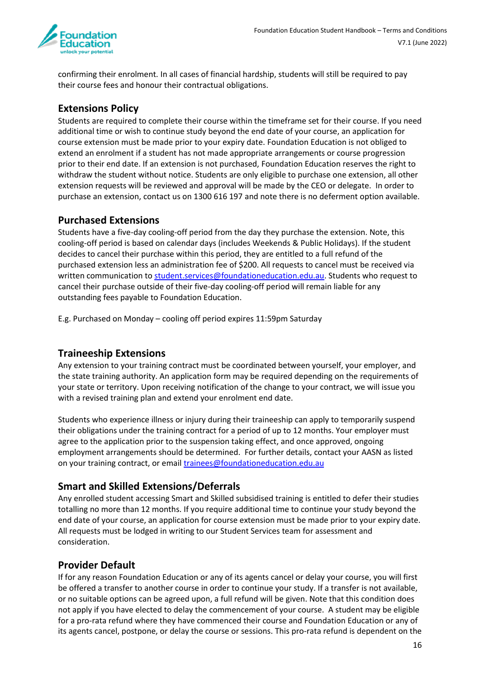

confirming their enrolment. In all cases of financial hardship, students will still be required to pay their course fees and honour their contractual obligations.

#### <span id="page-15-0"></span>**Extensions Policy**

Students are required to complete their course within the timeframe set for their course. If you need additional time or wish to continue study beyond the end date of your course, an application for course extension must be made prior to your expiry date. Foundation Education is not obliged to extend an enrolment if a student has not made appropriate arrangements or course progression prior to their end date. If an extension is not purchased, Foundation Education reserves the right to withdraw the student without notice. Students are only eligible to purchase one extension, all other extension requests will be reviewed and approval will be made by the CEO or delegate. In order to purchase an extension, contact us on 1300 616 197 and note there is no deferment option available.

#### <span id="page-15-1"></span>**Purchased Extensions**

Students have a five-day cooling-off period from the day they purchase the extension. Note, this cooling-off period is based on calendar days (includes Weekends & Public Holidays). If the student decides to cancel their purchase within this period, they are entitled to a full refund of the purchased extension less an administration fee of \$200. All requests to cancel must be received via written communication t[o student.services@foundationeducation.edu.au.](mailto:student.services@foundationeducation.edu.au) Students who request to cancel their purchase outside of their five-day cooling-off period will remain liable for any outstanding fees payable to Foundation Education.

E.g. Purchased on Monday – cooling off period expires 11:59pm Saturday

#### <span id="page-15-2"></span>**Traineeship Extensions**

Any extension to your training contract must be coordinated between yourself, your employer, and the state training authority. An application form may be required depending on the requirements of your state or territory. Upon receiving notification of the change to your contract, we will issue you with a revised training plan and extend your enrolment end date.

Students who experience illness or injury during their traineeship can apply to temporarily suspend their obligations under the training contract for a period of up to 12 months. Your employer must agree to the application prior to the suspension taking effect, and once approved, ongoing employment arrangements should be determined. For further details, contact your AASN as listed on your training contract, or email trainees@foundationeducation.edu.au

## <span id="page-15-3"></span>**Smart and Skilled Extensions/Deferrals**

Any enrolled student accessing Smart and Skilled subsidised training is entitled to defer their studies totalling no more than 12 months. If you require additional time to continue your study beyond the end date of your course, an application for course extension must be made prior to your expiry date. All requests must be lodged in writing to our Student Services team for assessment and consideration.

#### <span id="page-15-4"></span>**Provider Default**

If for any reason Foundation Education or any of its agents cancel or delay your course, you will first be offered a transfer to another course in order to continue your study. If a transfer is not available, or no suitable options can be agreed upon, a full refund will be given. Note that this condition does not apply if you have elected to delay the commencement of your course. A student may be eligible for a pro-rata refund where they have commenced their course and Foundation Education or any of its agents cancel, postpone, or delay the course or sessions. This pro-rata refund is dependent on the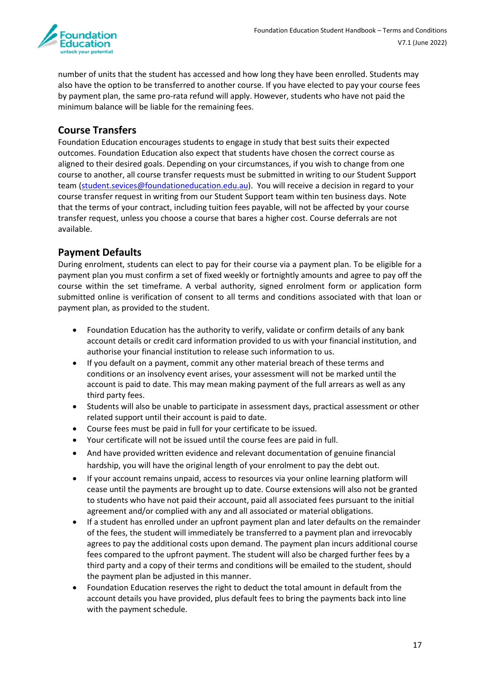

number of units that the student has accessed and how long they have been enrolled. Students may also have the option to be transferred to another course. If you have elected to pay your course fees by payment plan, the same pro-rata refund will apply. However, students who have not paid the minimum balance will be liable for the remaining fees.

#### <span id="page-16-0"></span>**Course Transfers**

Foundation Education encourages students to engage in study that best suits their expected outcomes. Foundation Education also expect that students have chosen the correct course as aligned to their desired goals. Depending on your circumstances, if you wish to change from one course to another, all course transfer requests must be submitted in writing to our Student Support team [\(student.sevices@foundationeducation.edu.au\)](mailto:student.services@aipt.edu.au). You will receive a decision in regard to your course transfer request in writing from our Student Support team within ten business days. Note that the terms of your contract, including tuition fees payable, will not be affected by your course transfer request, unless you choose a course that bares a higher cost. Course deferrals are not available.

## <span id="page-16-1"></span>**Payment Defaults**

During enrolment, students can elect to pay for their course via a payment plan. To be eligible for a payment plan you must confirm a set of fixed weekly or fortnightly amounts and agree to pay off the course within the set timeframe. A verbal authority, signed enrolment form or application form submitted online is verification of consent to all terms and conditions associated with that loan or payment plan, as provided to the student.

- Foundation Education has the authority to verify, validate or confirm details of any bank account details or credit card information provided to us with your financial institution, and authorise your financial institution to release such information to us.
- If you default on a payment, commit any other material breach of these terms and conditions or an insolvency event arises, your assessment will not be marked until the account is paid to date. This may mean making payment of the full arrears as well as any third party fees.
- Students will also be unable to participate in assessment days, practical assessment or other related support until their account is paid to date.
- Course fees must be paid in full for your certificate to be issued.
- Your certificate will not be issued until the course fees are paid in full.
- And have provided written evidence and relevant documentation of genuine financial hardship, you will have the original length of your enrolment to pay the debt out.
- If your account remains unpaid, access to resources via your online learning platform will cease until the payments are brought up to date. Course extensions will also not be granted to students who have not paid their account, paid all associated fees pursuant to the initial agreement and/or complied with any and all associated or material obligations.
- If a student has enrolled under an upfront payment plan and later defaults on the remainder of the fees, the student will immediately be transferred to a payment plan and irrevocably agrees to pay the additional costs upon demand. The payment plan incurs additional course fees compared to the upfront payment. The student will also be charged further fees by a third party and a copy of their terms and conditions will be emailed to the student, should the payment plan be adjusted in this manner.
- Foundation Education reserves the right to deduct the total amount in default from the account details you have provided, plus default fees to bring the payments back into line with the payment schedule.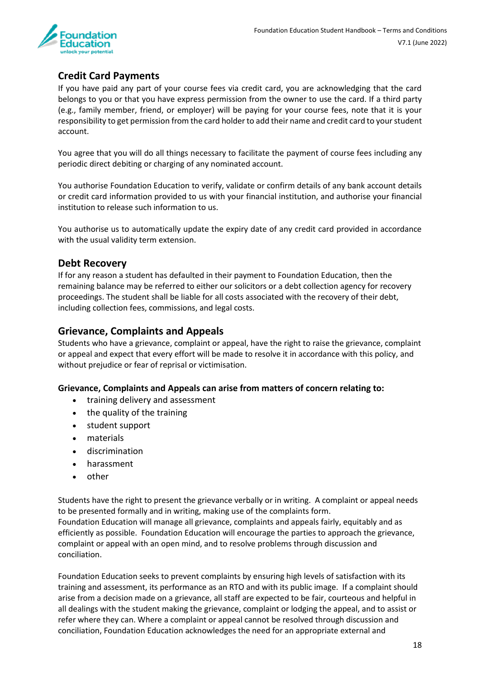

# <span id="page-17-0"></span>**Credit Card Payments**

If you have paid any part of your course fees via credit card, you are acknowledging that the card belongs to you or that you have express permission from the owner to use the card. If a third party (e.g., family member, friend, or employer) will be paying for your course fees, note that it is your responsibility to get permission from the card holder to add their name and credit card to your student account.

You agree that you will do all things necessary to facilitate the payment of course fees including any periodic direct debiting or charging of any nominated account.

You authorise Foundation Education to verify, validate or confirm details of any bank account details or credit card information provided to us with your financial institution, and authorise your financial institution to release such information to us.

You authorise us to automatically update the expiry date of any credit card provided in accordance with the usual validity term extension.

#### <span id="page-17-1"></span>**Debt Recovery**

If for any reason a student has defaulted in their payment to Foundation Education, then the remaining balance may be referred to either our solicitors or a debt collection agency for recovery proceedings. The student shall be liable for all costs associated with the recovery of their debt, including collection fees, commissions, and legal costs.

#### <span id="page-17-2"></span>**Grievance, Complaints and Appeals**

Students who have a grievance, complaint or appeal, have the right to raise the grievance, complaint or appeal and expect that every effort will be made to resolve it in accordance with this policy, and without prejudice or fear of reprisal or victimisation.

#### **Grievance, Complaints and Appeals can arise from matters of concern relating to:**

- training delivery and assessment
- the quality of the training
- student support
- materials
- discrimination
- harassment
- other

Students have the right to present the grievance verbally or in writing. A complaint or appeal needs to be presented formally and in writing, making use of the complaints form.

Foundation Education will manage all grievance, complaints and appeals fairly, equitably and as efficiently as possible. Foundation Education will encourage the parties to approach the grievance, complaint or appeal with an open mind, and to resolve problems through discussion and conciliation.

Foundation Education seeks to prevent complaints by ensuring high levels of satisfaction with its training and assessment, its performance as an RTO and with its public image. If a complaint should arise from a decision made on a grievance, all staff are expected to be fair, courteous and helpful in all dealings with the student making the grievance, complaint or lodging the appeal, and to assist or refer where they can. Where a complaint or appeal cannot be resolved through discussion and conciliation, Foundation Education acknowledges the need for an appropriate external and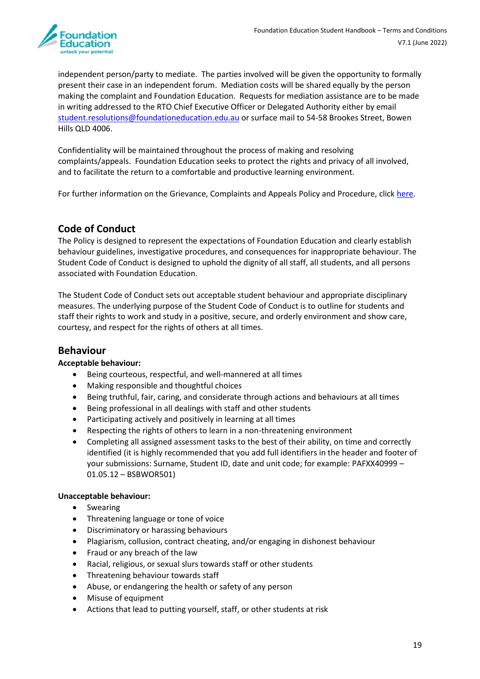

independent person/party to mediate. The parties involved will be given the opportunity to formally present their case in an independent forum. Mediation costs will be shared equally by the person making the complaint and Foundation Education. Requests for mediation assistance are to be made in writing addressed to the RTO Chief Executive Officer or Delegated Authority either by email [student.resolutions@foundationeducation.edu.au](mailto:quality@foundationeducation.edu.au) or surface mail to 54-58 Brookes Street, Bowen Hills QLD 4006.

Confidentiality will be maintained throughout the process of making and resolving complaints/appeals. Foundation Education seeks to protect the rights and privacy of all involved, and to facilitate the return to a comfortable and productive learning environment.

For further information on the Grievance, Complaints and Appeals Policy and Procedure, click [here.](https://www.foundationeducation.edu.au/grievance-complaints-and-appeals-policy-and-procedure)

#### <span id="page-18-0"></span>**Code of Conduct**

The Policy is designed to represent the expectations of Foundation Education and clearly establish behaviour guidelines, investigative procedures, and consequences for inappropriate behaviour. The Student Code of Conduct is designed to uphold the dignity of all staff, all students, and all persons associated with Foundation Education.

The Student Code of Conduct sets out acceptable student behaviour and appropriate disciplinary measures. The underlying purpose of the Student Code of Conduct is to outline for students and staff their rights to work and study in a positive, secure, and orderly environment and show care, courtesy, and respect for the rights of others at all times.

#### <span id="page-18-1"></span>**Behaviour**

#### **Acceptable behaviour:**

- Being courteous, respectful, and well-mannered at all times
- Making responsible and thoughtful choices
- Being truthful, fair, caring, and considerate through actions and behaviours at all times
- Being professional in all dealings with staff and other students
- Participating actively and positively in learning at all times
- Respecting the rights of others to learn in a non-threatening environment
- Completing all assigned assessment tasks to the best of their ability, on time and correctly identified (it is highly recommended that you add full identifiers in the header and footer of your submissions: Surname, Student ID, date and unit code; for example: PAFXX40999 – 01.05.12 – BSBWOR501)

#### **Unacceptable behaviour:**

- Swearing
- Threatening language or tone of voice
- Discriminatory or harassing behaviours
- Plagiarism, collusion, contract cheating, and/or engaging in dishonest behaviour
- Fraud or any breach of the law
- Racial, religious, or sexual slurs towards staff or other students
- Threatening behaviour towards staff
- Abuse, or endangering the health or safety of any person
- Misuse of equipment
- Actions that lead to putting yourself, staff, or other students at risk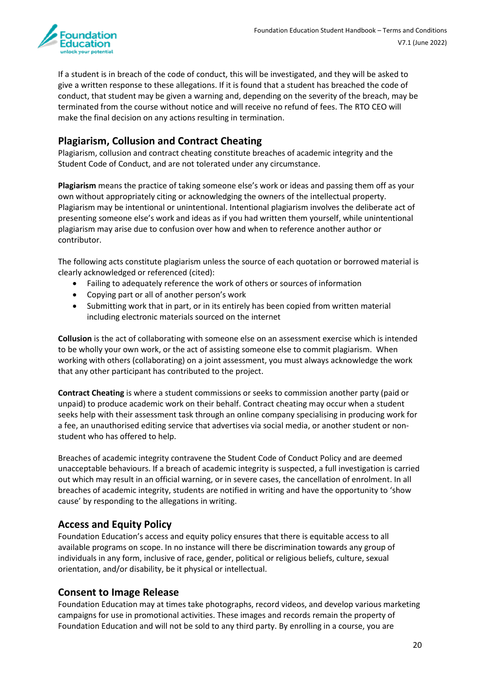

If a student is in breach of the code of conduct, this will be investigated, and they will be asked to give a written response to these allegations. If it is found that a student has breached the code of conduct, that student may be given a warning and, depending on the severity of the breach, may be terminated from the course without notice and will receive no refund of fees. The RTO CEO will make the final decision on any actions resulting in termination.

# <span id="page-19-0"></span>**Plagiarism, Collusion and Contract Cheating**

Plagiarism, collusion and contract cheating constitute breaches of academic integrity and the Student Code of Conduct, and are not tolerated under any circumstance.

**Plagiarism** means the practice of taking someone else's work or ideas and passing them off as your own without appropriately citing or acknowledging the owners of the intellectual property. Plagiarism may be intentional or unintentional. Intentional plagiarism involves the deliberate act of presenting someone else's work and ideas as if you had written them yourself, while unintentional plagiarism may arise due to confusion over how and when to reference another author or contributor.

The following acts constitute plagiarism unless the source of each quotation or borrowed material is clearly acknowledged or referenced (cited):

- Failing to adequately reference the work of others or sources of information
- Copying part or all of another person's work
- Submitting work that in part, or in its entirely has been copied from written material including electronic materials sourced on the internet

**Collusion** is the act of collaborating with someone else on an assessment exercise which is intended to be wholly your own work, or the act of assisting someone else to commit plagiarism. When working with others (collaborating) on a joint assessment, you must always acknowledge the work that any other participant has contributed to the project.

**Contract Cheating** is where a student commissions or seeks to commission another party (paid or unpaid) to produce academic work on their behalf. Contract cheating may occur when a student seeks help with their assessment task through an online company specialising in producing work for a fee, an unauthorised editing service that advertises via social media, or another student or nonstudent who has offered to help.

Breaches of academic integrity contravene the Student Code of Conduct Policy and are deemed unacceptable behaviours. If a breach of academic integrity is suspected, a full investigation is carried out which may result in an official warning, or in severe cases, the cancellation of enrolment. In all breaches of academic integrity, students are notified in writing and have the opportunity to 'show cause' by responding to the allegations in writing.

#### <span id="page-19-1"></span>**Access and Equity Policy**

Foundation Education's access and equity policy ensures that there is equitable access to all available programs on scope. In no instance will there be discrimination towards any group of individuals in any form, inclusive of race, gender, political or religious beliefs, culture, sexual orientation, and/or disability, be it physical or intellectual.

#### <span id="page-19-2"></span>**Consent to Image Release**

Foundation Education may at times take photographs, record videos, and develop various marketing campaigns for use in promotional activities. These images and records remain the property of Foundation Education and will not be sold to any third party. By enrolling in a course, you are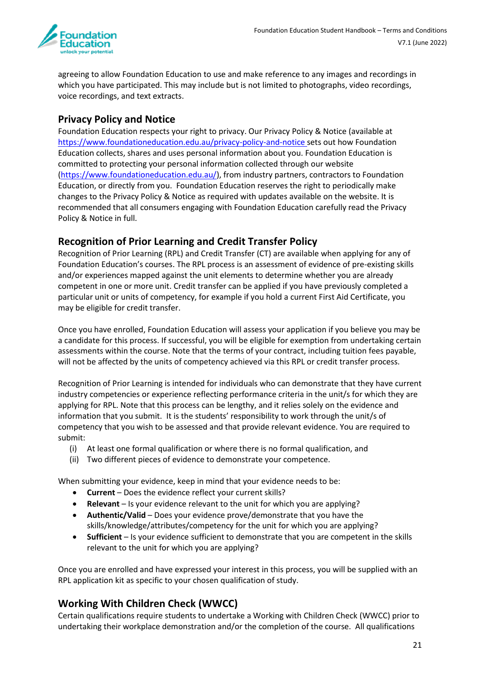

agreeing to allow Foundation Education to use and make reference to any images and recordings in which you have participated. This may include but is not limited to photographs, video recordings, voice recordings, and text extracts.

## <span id="page-20-0"></span>**Privacy Policy and Notice**

Foundation Education respects your right to privacy. Our Privacy Policy & Notice (available at <https://www.foundationeducation.edu.au/privacy-policy-and-notice> sets out how Foundation Education collects, shares and uses personal information about you. Foundation Education is committed to protecting your personal information collected through our website (https://www.foundationeducation.edu.au/), from industry partners, contractors to Foundation Education, or directly from you. Foundation Education reserves the right to periodically make changes to the Privacy Policy & Notice as required with updates available on the website. It is recommended that all consumers engaging with Foundation Education carefully read the Privacy Policy & Notice in full.

## <span id="page-20-1"></span>**Recognition of Prior Learning and Credit Transfer Policy**

Recognition of Prior Learning (RPL) and Credit Transfer (CT) are available when applying for any of Foundation Education's courses. The RPL process is an assessment of evidence of pre-existing skills and/or experiences mapped against the unit elements to determine whether you are already competent in one or more unit. Credit transfer can be applied if you have previously completed a particular unit or units of competency, for example if you hold a current First Aid Certificate, you may be eligible for credit transfer.

Once you have enrolled, Foundation Education will assess your application if you believe you may be a candidate for this process. If successful, you will be eligible for exemption from undertaking certain assessments within the course. Note that the terms of your contract, including tuition fees payable, will not be affected by the units of competency achieved via this RPL or credit transfer process.

Recognition of Prior Learning is intended for individuals who can demonstrate that they have current industry competencies or experience reflecting performance criteria in the unit/s for which they are applying for RPL. Note that this process can be lengthy, and it relies solely on the evidence and information that you submit. It is the students' responsibility to work through the unit/s of competency that you wish to be assessed and that provide relevant evidence. You are required to submit:

- (i) At least one formal qualification or where there is no formal qualification, and
- (ii) Two different pieces of evidence to demonstrate your competence.

When submitting your evidence, keep in mind that your evidence needs to be:

- **Current** Does the evidence reflect your current skills?
- **Relevant**  Is your evidence relevant to the unit for which you are applying?
- **Authentic/Valid** Does your evidence prove/demonstrate that you have the skills/knowledge/attributes/competency for the unit for which you are applying?
- **Sufficient** Is your evidence sufficient to demonstrate that you are competent in the skills relevant to the unit for which you are applying?

Once you are enrolled and have expressed your interest in this process, you will be supplied with an RPL application kit as specific to your chosen qualification of study.

## <span id="page-20-2"></span>**Working With Children Check (WWCC)**

Certain qualifications require students to undertake a Working with Children Check (WWCC) prior to undertaking their workplace demonstration and/or the completion of the course. All qualifications